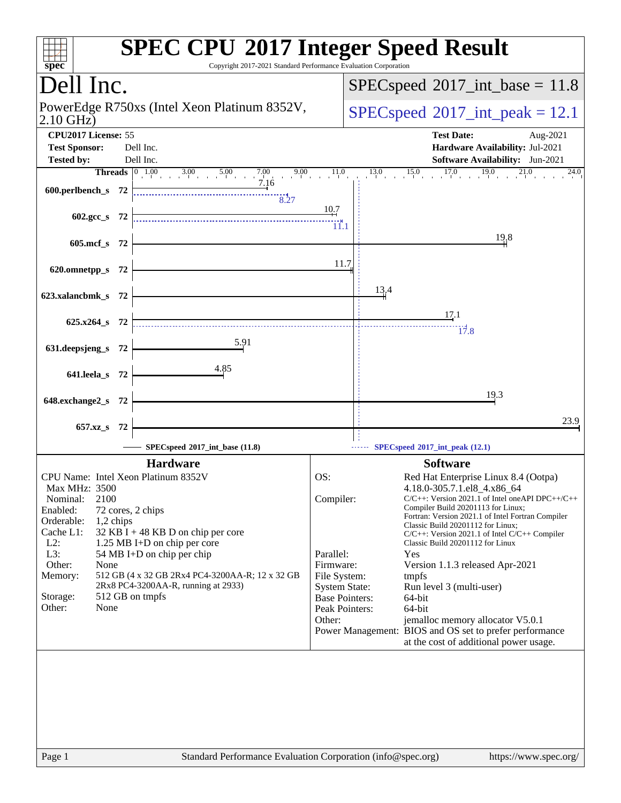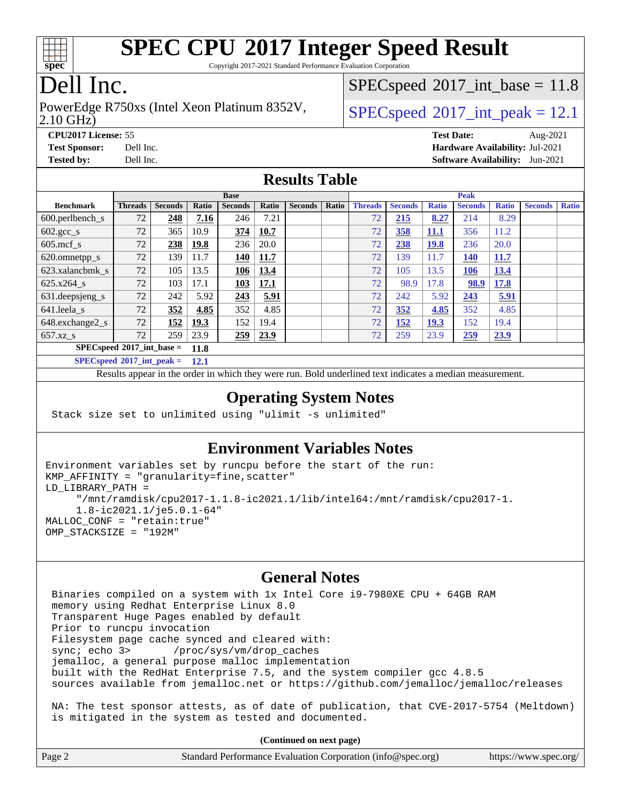

Copyright 2017-2021 Standard Performance Evaluation Corporation

# Dell Inc.

#### 2.10 GHz) PowerEdge R750xs (Intel Xeon Platinum 8352V,  $SPECspeed@2017$  $SPECspeed@2017$  int peak = 12.1

 $SPECspeed^{\circ}2017\_int\_base = 11.8$  $SPECspeed^{\circ}2017\_int\_base = 11.8$ 

**[CPU2017 License:](http://www.spec.org/auto/cpu2017/Docs/result-fields.html#CPU2017License)** 55 **[Test Date:](http://www.spec.org/auto/cpu2017/Docs/result-fields.html#TestDate)** Aug-2021 **[Test Sponsor:](http://www.spec.org/auto/cpu2017/Docs/result-fields.html#TestSponsor)** Dell Inc. **[Hardware Availability:](http://www.spec.org/auto/cpu2017/Docs/result-fields.html#HardwareAvailability)** Jul-2021 **[Tested by:](http://www.spec.org/auto/cpu2017/Docs/result-fields.html#Testedby)** Dell Inc. **[Software Availability:](http://www.spec.org/auto/cpu2017/Docs/result-fields.html#SoftwareAvailability)** Jun-2021

#### **[Results Table](http://www.spec.org/auto/cpu2017/Docs/result-fields.html#ResultsTable)**

|                                      | <b>Base</b>    |                |             |                |             | <b>Peak</b>    |       |                |                |              |                |              |                |              |
|--------------------------------------|----------------|----------------|-------------|----------------|-------------|----------------|-------|----------------|----------------|--------------|----------------|--------------|----------------|--------------|
| <b>Benchmark</b>                     | <b>Threads</b> | <b>Seconds</b> | Ratio       | <b>Seconds</b> | Ratio       | <b>Seconds</b> | Ratio | <b>Threads</b> | <b>Seconds</b> | <b>Ratio</b> | <b>Seconds</b> | <b>Ratio</b> | <b>Seconds</b> | <b>Ratio</b> |
| $600.$ perlbench $\mathsf{S}$        | 72             | 248            | 7.16        | 246            | 7.21        |                |       | 72             | 215            | 8.27         | 214            | 8.29         |                |              |
| $602 \text{.} \text{gcc}\text{_<}$ s | 72             | 365            | 10.9        | 374            | 10.7        |                |       | 72             | <u>358</u>     | <u>11.1</u>  | 356            | 11.2         |                |              |
| $605$ .mcf s                         | 72             | 238            | <u>19.8</u> | 236            | 20.0        |                |       | 72             | 238            | <u>19.8</u>  | 236            | 20.0         |                |              |
| 620.omnetpp_s                        | 72             | 139            | 11.7        | <b>140</b>     | 11.7        |                |       | 72             | 139            | 11.7         | <u>140</u>     | 11.7         |                |              |
| 623.xalancbmk s                      | 72             | 105            | 13.5        | <u>106</u>     | <u>13.4</u> |                |       | 72             | 105            | 13.5         | <u>106</u>     | <u>13.4</u>  |                |              |
| 625.x264 s                           | 72             | 103            | 17.1        | 103            | 17.1        |                |       | 72             | 98.9           | 17.8         | 98.9           | 17.8         |                |              |
| 631.deepsjeng_s                      | 72             | 242            | 5.92        | 243            | 5.91        |                |       | 72             | 242            | 5.92         | 243            | 5.91         |                |              |
| 641.leela s                          | 72             | 352            | 4.85        | 352            | 4.85        |                |       | 72             | 352            | 4.85         | 352            | 4.85         |                |              |
| 648.exchange2_s                      | 72             | 152            | 19.3        | 152            | 19.4        |                |       | 72             | 152            | <u>19.3</u>  | 152            | 19.4         |                |              |
| 657.xz s                             | 72             | 259            | 23.9        | 259            | 23.9        |                |       | 72             | 259            | 23.9         | 259            | 23.9         |                |              |
| $SPECspeed*2017$ int base =<br>11.8  |                |                |             |                |             |                |       |                |                |              |                |              |                |              |
| $SPEC speed*2017\_int\_peak =$       |                |                | 12.1        |                |             |                |       |                |                |              |                |              |                |              |

Results appear in the [order in which they were run.](http://www.spec.org/auto/cpu2017/Docs/result-fields.html#RunOrder) Bold underlined text [indicates a median measurement.](http://www.spec.org/auto/cpu2017/Docs/result-fields.html#Median)

#### **[Operating System Notes](http://www.spec.org/auto/cpu2017/Docs/result-fields.html#OperatingSystemNotes)**

Stack size set to unlimited using "ulimit -s unlimited"

is mitigated in the system as tested and documented.

#### **[Environment Variables Notes](http://www.spec.org/auto/cpu2017/Docs/result-fields.html#EnvironmentVariablesNotes)**

```
Environment variables set by runcpu before the start of the run:
KMP_AFFINITY = "granularity=fine,scatter"
LD_LIBRARY_PATH =
      "/mnt/ramdisk/cpu2017-1.1.8-ic2021.1/lib/intel64:/mnt/ramdisk/cpu2017-1.
      1.8-ic2021.1/je5.0.1-64"
MALLOC_CONF = "retain:true"
OMP_STACKSIZE = "192M"
```
#### **[General Notes](http://www.spec.org/auto/cpu2017/Docs/result-fields.html#GeneralNotes)**

 Binaries compiled on a system with 1x Intel Core i9-7980XE CPU + 64GB RAM memory using Redhat Enterprise Linux 8.0 Transparent Huge Pages enabled by default Prior to runcpu invocation Filesystem page cache synced and cleared with: sync; echo 3> /proc/sys/vm/drop\_caches jemalloc, a general purpose malloc implementation built with the RedHat Enterprise 7.5, and the system compiler gcc 4.8.5 sources available from jemalloc.net or <https://github.com/jemalloc/jemalloc/releases> NA: The test sponsor attests, as of date of publication, that CVE-2017-5754 (Meltdown)

**(Continued on next page)**

|        | (Continued on next page)                                    |                       |
|--------|-------------------------------------------------------------|-----------------------|
| Page 2 | Standard Performance Evaluation Corporation (info@spec.org) | https://www.spec.org/ |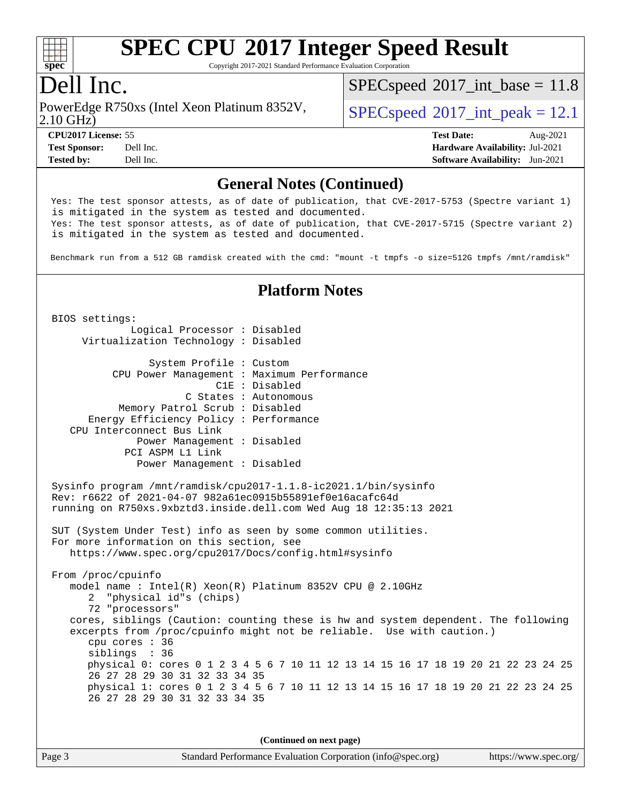

Copyright 2017-2021 Standard Performance Evaluation Corporation

## Dell Inc.

2.10 GHz) PowerEdge R750xs (Intel Xeon Platinum 8352V,  $\vert$  [SPECspeed](http://www.spec.org/auto/cpu2017/Docs/result-fields.html#SPECspeed2017intpeak)®[2017\\_int\\_peak = 1](http://www.spec.org/auto/cpu2017/Docs/result-fields.html#SPECspeed2017intpeak)2.1

 $SPECspeed^{\circ}2017\_int\_base = 11.8$  $SPECspeed^{\circ}2017\_int\_base = 11.8$ 

**[CPU2017 License:](http://www.spec.org/auto/cpu2017/Docs/result-fields.html#CPU2017License)** 55 **[Test Date:](http://www.spec.org/auto/cpu2017/Docs/result-fields.html#TestDate)** Aug-2021 **[Test Sponsor:](http://www.spec.org/auto/cpu2017/Docs/result-fields.html#TestSponsor)** Dell Inc. **[Hardware Availability:](http://www.spec.org/auto/cpu2017/Docs/result-fields.html#HardwareAvailability)** Jul-2021 **[Tested by:](http://www.spec.org/auto/cpu2017/Docs/result-fields.html#Testedby)** Dell Inc. **[Software Availability:](http://www.spec.org/auto/cpu2017/Docs/result-fields.html#SoftwareAvailability)** Jun-2021

#### **[General Notes \(Continued\)](http://www.spec.org/auto/cpu2017/Docs/result-fields.html#GeneralNotes)**

 Yes: The test sponsor attests, as of date of publication, that CVE-2017-5753 (Spectre variant 1) is mitigated in the system as tested and documented. Yes: The test sponsor attests, as of date of publication, that CVE-2017-5715 (Spectre variant 2) is mitigated in the system as tested and documented.

Benchmark run from a 512 GB ramdisk created with the cmd: "mount -t tmpfs -o size=512G tmpfs /mnt/ramdisk"

#### **[Platform Notes](http://www.spec.org/auto/cpu2017/Docs/result-fields.html#PlatformNotes)**

 BIOS settings: Logical Processor : Disabled Virtualization Technology : Disabled System Profile : Custom CPU Power Management : Maximum Performance C1E : Disabled C States : Autonomous Memory Patrol Scrub : Disabled Energy Efficiency Policy : Performance CPU Interconnect Bus Link Power Management : Disabled PCI ASPM L1 Link Power Management : Disabled Sysinfo program /mnt/ramdisk/cpu2017-1.1.8-ic2021.1/bin/sysinfo Rev: r6622 of 2021-04-07 982a61ec0915b55891ef0e16acafc64d running on R750xs.9xbztd3.inside.dell.com Wed Aug 18 12:35:13 2021 SUT (System Under Test) info as seen by some common utilities. For more information on this section, see <https://www.spec.org/cpu2017/Docs/config.html#sysinfo> From /proc/cpuinfo model name : Intel(R) Xeon(R) Platinum 8352V CPU @ 2.10GHz 2 "physical id"s (chips) 72 "processors" cores, siblings (Caution: counting these is hw and system dependent. The following excerpts from /proc/cpuinfo might not be reliable. Use with caution.) cpu cores : 36 siblings : 36 physical 0: cores 0 1 2 3 4 5 6 7 10 11 12 13 14 15 16 17 18 19 20 21 22 23 24 25 26 27 28 29 30 31 32 33 34 35 physical 1: cores 0 1 2 3 4 5 6 7 10 11 12 13 14 15 16 17 18 19 20 21 22 23 24 25 26 27 28 29 30 31 32 33 34 35

**(Continued on next page)**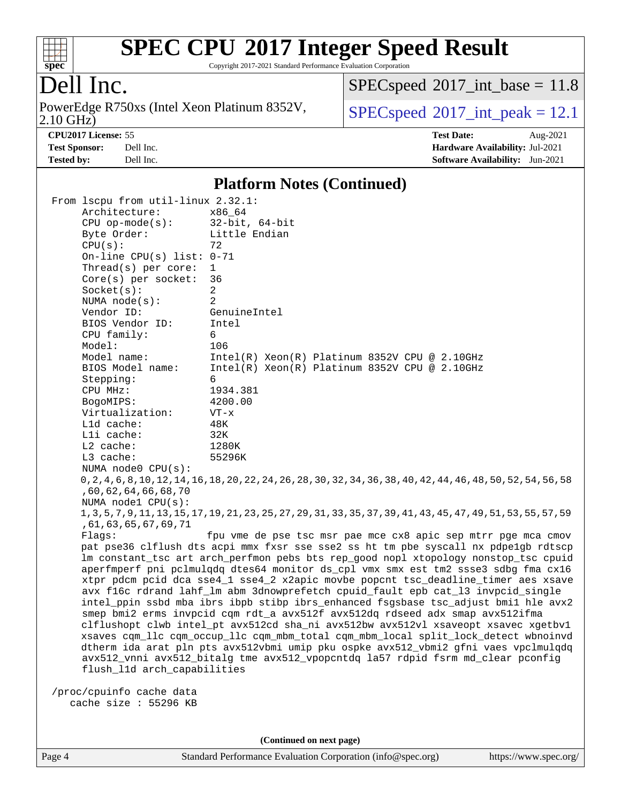

Copyright 2017-2021 Standard Performance Evaluation Corporation

## Dell Inc.

2.10 GHz) PowerEdge R750xs (Intel Xeon Platinum 8352V,  $SPECspeed@2017\_int\_peak = 12.1$  $SPECspeed@2017\_int\_peak = 12.1$ 

 $SPEC speed$ <sup>®</sup> $2017$ \_int\_base = 11.8

**[CPU2017 License:](http://www.spec.org/auto/cpu2017/Docs/result-fields.html#CPU2017License)** 55 **[Test Date:](http://www.spec.org/auto/cpu2017/Docs/result-fields.html#TestDate)** Aug-2021 **[Test Sponsor:](http://www.spec.org/auto/cpu2017/Docs/result-fields.html#TestSponsor)** Dell Inc. **[Hardware Availability:](http://www.spec.org/auto/cpu2017/Docs/result-fields.html#HardwareAvailability)** Jul-2021 **[Tested by:](http://www.spec.org/auto/cpu2017/Docs/result-fields.html#Testedby)** Dell Inc. **[Software Availability:](http://www.spec.org/auto/cpu2017/Docs/result-fields.html#SoftwareAvailability)** Jun-2021

#### **[Platform Notes \(Continued\)](http://www.spec.org/auto/cpu2017/Docs/result-fields.html#PlatformNotes)**

| From 1scpu from util-linux 2.32.1:                                                                                |                                                                                                                   |  |  |  |  |  |
|-------------------------------------------------------------------------------------------------------------------|-------------------------------------------------------------------------------------------------------------------|--|--|--|--|--|
| Architecture:                                                                                                     | x86 64                                                                                                            |  |  |  |  |  |
| $CPU$ op-mode( $s$ ):                                                                                             | $32$ -bit, $64$ -bit                                                                                              |  |  |  |  |  |
| Byte Order:                                                                                                       | Little Endian                                                                                                     |  |  |  |  |  |
| CPU(s):                                                                                                           | 72                                                                                                                |  |  |  |  |  |
| On-line CPU(s) list: $0-71$                                                                                       |                                                                                                                   |  |  |  |  |  |
| Thread( $s$ ) per core:                                                                                           | $\mathbf{1}$                                                                                                      |  |  |  |  |  |
| Core(s) per socket:                                                                                               | 36                                                                                                                |  |  |  |  |  |
| Socket(s):                                                                                                        | 2                                                                                                                 |  |  |  |  |  |
| NUMA $node(s):$                                                                                                   | $\overline{2}$                                                                                                    |  |  |  |  |  |
| Vendor ID:                                                                                                        | GenuineIntel                                                                                                      |  |  |  |  |  |
| BIOS Vendor ID:                                                                                                   | Intel                                                                                                             |  |  |  |  |  |
| CPU family:                                                                                                       | 6                                                                                                                 |  |  |  |  |  |
| Model:                                                                                                            | 106                                                                                                               |  |  |  |  |  |
| Model name:                                                                                                       | $Intel(R) Xeon(R) Platinum 8352V CPU @ 2.10GHz$                                                                   |  |  |  |  |  |
| BIOS Model name:                                                                                                  | $Intel(R) Xeon(R) Platinum 8352V CPU @ 2.10GHz$                                                                   |  |  |  |  |  |
| Stepping:                                                                                                         | 6                                                                                                                 |  |  |  |  |  |
| CPU MHz:                                                                                                          | 1934.381                                                                                                          |  |  |  |  |  |
| BogoMIPS:                                                                                                         | 4200.00                                                                                                           |  |  |  |  |  |
| Virtualization:                                                                                                   | $VT - x$                                                                                                          |  |  |  |  |  |
| L1d cache:                                                                                                        | 48K                                                                                                               |  |  |  |  |  |
| Lli cache:                                                                                                        | 32K                                                                                                               |  |  |  |  |  |
| L2 cache:                                                                                                         | 1280K                                                                                                             |  |  |  |  |  |
| L3 cache:                                                                                                         | 55296K                                                                                                            |  |  |  |  |  |
| NUMA node0 CPU(s):                                                                                                |                                                                                                                   |  |  |  |  |  |
|                                                                                                                   | 0, 2, 4, 6, 8, 10, 12, 14, 16, 18, 20, 22, 24, 26, 28, 30, 32, 34, 36, 38, 40, 42, 44, 46, 48, 50, 52, 54, 56, 58 |  |  |  |  |  |
| ,60,62,64,66,68,70                                                                                                |                                                                                                                   |  |  |  |  |  |
| NUMA $node1$ CPU $(s)$ :                                                                                          |                                                                                                                   |  |  |  |  |  |
| 1, 3, 5, 7, 9, 11, 13, 15, 17, 19, 21, 23, 25, 27, 29, 31, 33, 35, 37, 39, 41, 43, 45, 47, 49, 51, 53, 55, 57, 59 |                                                                                                                   |  |  |  |  |  |
| ,61,63,65,67,69,71                                                                                                |                                                                                                                   |  |  |  |  |  |
| fpu vme de pse tsc msr pae mce cx8 apic sep mtrr pge mca cmov<br>Flags:                                           |                                                                                                                   |  |  |  |  |  |
| pat pse36 clflush dts acpi mmx fxsr sse sse2 ss ht tm pbe syscall nx pdpelgb rdtscp                               |                                                                                                                   |  |  |  |  |  |
|                                                                                                                   | lm constant_tsc art arch_perfmon pebs bts rep_good nopl xtopology nonstop_tsc cpuid                               |  |  |  |  |  |
|                                                                                                                   | aperfmperf pni pclmulqdq dtes64 monitor ds_cpl vmx smx est tm2 ssse3 sdbg fma cx16                                |  |  |  |  |  |
|                                                                                                                   | xtpr pdcm pcid dca sse4_1 sse4_2 x2apic movbe popcnt tsc_deadline_timer aes xsave                                 |  |  |  |  |  |
|                                                                                                                   | avx f16c rdrand lahf_lm abm 3dnowprefetch cpuid_fault epb cat_13 invpcid_single                                   |  |  |  |  |  |
|                                                                                                                   | intel_ppin ssbd mba ibrs ibpb stibp ibrs_enhanced fsgsbase tsc_adjust bmil hle avx2                               |  |  |  |  |  |
|                                                                                                                   | smep bmi2 erms invpcid cqm rdt_a avx512f avx512dq rdseed adx smap avx512ifma                                      |  |  |  |  |  |
| clflushopt clwb intel_pt avx512cd sha_ni avx512bw avx512vl xsaveopt xsavec xgetbvl                                |                                                                                                                   |  |  |  |  |  |
| xsaves cqm_llc cqm_occup_llc cqm_mbm_total cqm_mbm_local split_lock_detect wbnoinvd                               |                                                                                                                   |  |  |  |  |  |
| dtherm ida arat pln pts avx512vbmi umip pku ospke avx512_vbmi2 gfni vaes vpclmulqdq                               |                                                                                                                   |  |  |  |  |  |
|                                                                                                                   | avx512_vnni avx512_bitalg tme avx512_vpopcntdq la57 rdpid fsrm md_clear pconfig                                   |  |  |  |  |  |
| flush_l1d arch_capabilities                                                                                       |                                                                                                                   |  |  |  |  |  |
|                                                                                                                   |                                                                                                                   |  |  |  |  |  |
| /proc/cpuinfo cache data                                                                                          |                                                                                                                   |  |  |  |  |  |
| cache size : 55296 KB                                                                                             |                                                                                                                   |  |  |  |  |  |

**(Continued on next page)**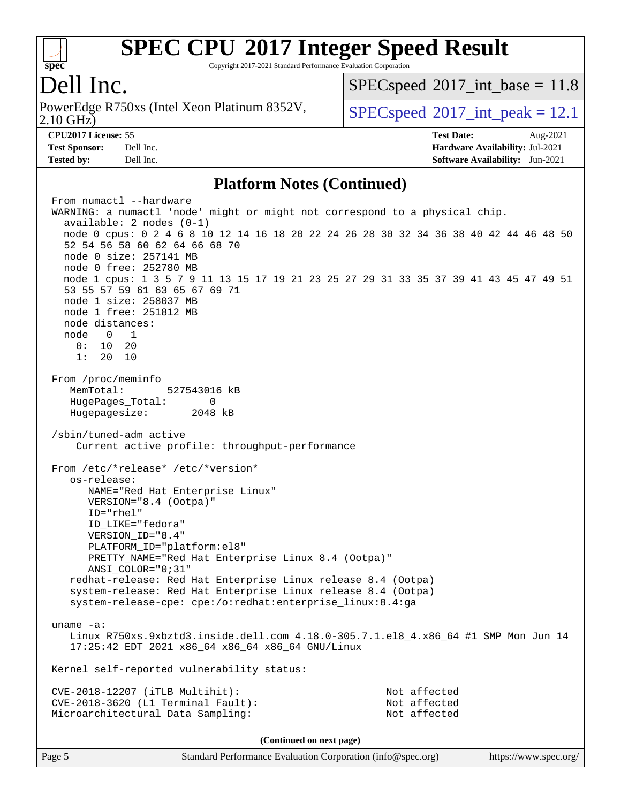

Copyright 2017-2021 Standard Performance Evaluation Corporation

## ell Inc.

2.10 GHz) PowerEdge R750xs (Intel Xeon Platinum 8352V,  $SPECspeed@2017$  $SPECspeed@2017$  int peak = 12.1

 $SPECspeed^{\circ}2017\_int\_base = 11.8$  $SPECspeed^{\circ}2017\_int\_base = 11.8$ 

**[Tested by:](http://www.spec.org/auto/cpu2017/Docs/result-fields.html#Testedby)** Dell Inc. **[Software Availability:](http://www.spec.org/auto/cpu2017/Docs/result-fields.html#SoftwareAvailability)** Jun-2021

**[CPU2017 License:](http://www.spec.org/auto/cpu2017/Docs/result-fields.html#CPU2017License)** 55 **[Test Date:](http://www.spec.org/auto/cpu2017/Docs/result-fields.html#TestDate)** Aug-2021 **[Test Sponsor:](http://www.spec.org/auto/cpu2017/Docs/result-fields.html#TestSponsor)** Dell Inc. **[Hardware Availability:](http://www.spec.org/auto/cpu2017/Docs/result-fields.html#HardwareAvailability)** Jul-2021

#### **[Platform Notes \(Continued\)](http://www.spec.org/auto/cpu2017/Docs/result-fields.html#PlatformNotes)**

From numactl --hardware WARNING: a numactl 'node' might or might not correspond to a physical chip. available: 2 nodes (0-1) node 0 cpus: 0 2 4 6 8 10 12 14 16 18 20 22 24 26 28 30 32 34 36 38 40 42 44 46 48 50 52 54 56 58 60 62 64 66 68 70 node 0 size: 257141 MB node 0 free: 252780 MB node 1 cpus: 1 3 5 7 9 11 13 15 17 19 21 23 25 27 29 31 33 35 37 39 41 43 45 47 49 51 53 55 57 59 61 63 65 67 69 71 node 1 size: 258037 MB node 1 free: 251812 MB node distances: node 0 1  $0: 10 20$  1: 20 10 From /proc/meminfo MemTotal: 527543016 kB HugePages\_Total: 0 Hugepagesize: 2048 kB /sbin/tuned-adm active Current active profile: throughput-performance From /etc/\*release\* /etc/\*version\* os-release: NAME="Red Hat Enterprise Linux" VERSION="8.4 (Ootpa)" ID="rhel" ID\_LIKE="fedora" VERSION\_ID="8.4" PLATFORM\_ID="platform:el8" PRETTY\_NAME="Red Hat Enterprise Linux 8.4 (Ootpa)" ANSI\_COLOR="0;31" redhat-release: Red Hat Enterprise Linux release 8.4 (Ootpa) system-release: Red Hat Enterprise Linux release 8.4 (Ootpa) system-release-cpe: cpe:/o:redhat:enterprise\_linux:8.4:ga uname -a: Linux R750xs.9xbztd3.inside.dell.com 4.18.0-305.7.1.el8\_4.x86\_64 #1 SMP Mon Jun 14 17:25:42 EDT 2021 x86\_64 x86\_64 x86\_64 GNU/Linux Kernel self-reported vulnerability status: CVE-2018-12207 (iTLB Multihit): Not affected CVE-2018-3620 (L1 Terminal Fault): Not affected Microarchitectural Data Sampling: Not affected **(Continued on next page)**

Page 5 Standard Performance Evaluation Corporation [\(info@spec.org\)](mailto:info@spec.org) <https://www.spec.org/>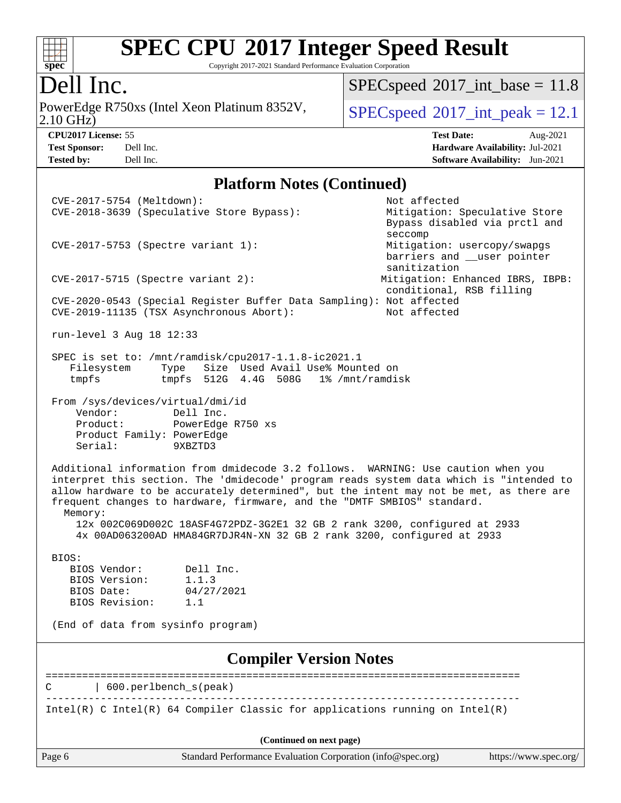

Copyright 2017-2021 Standard Performance Evaluation Corporation

## Dell Inc.

2.10 GHz) PowerEdge R750xs (Intel Xeon Platinum 8352V,  $SPECspeed@2017\_int\_peak = 12.1$  $SPECspeed@2017\_int\_peak = 12.1$ 

 $SPEC speed$ <sup>®</sup> $2017$ \_int\_base = 11.8

**[Tested by:](http://www.spec.org/auto/cpu2017/Docs/result-fields.html#Testedby)** Dell Inc. **[Software Availability:](http://www.spec.org/auto/cpu2017/Docs/result-fields.html#SoftwareAvailability)** Jun-2021

**[CPU2017 License:](http://www.spec.org/auto/cpu2017/Docs/result-fields.html#CPU2017License)** 55 **[Test Date:](http://www.spec.org/auto/cpu2017/Docs/result-fields.html#TestDate)** Aug-2021 **[Test Sponsor:](http://www.spec.org/auto/cpu2017/Docs/result-fields.html#TestSponsor)** Dell Inc. **[Hardware Availability:](http://www.spec.org/auto/cpu2017/Docs/result-fields.html#HardwareAvailability)** Jul-2021

#### **[Platform Notes \(Continued\)](http://www.spec.org/auto/cpu2017/Docs/result-fields.html#PlatformNotes)**

| CVE-2017-5754 (Meltdown):                                                                                                                           | Not affected                                |  |  |  |  |
|-----------------------------------------------------------------------------------------------------------------------------------------------------|---------------------------------------------|--|--|--|--|
| CVE-2018-3639 (Speculative Store Bypass):                                                                                                           | Mitigation: Speculative Store               |  |  |  |  |
|                                                                                                                                                     | Bypass disabled via prctl and               |  |  |  |  |
|                                                                                                                                                     | seccomp                                     |  |  |  |  |
| CVE-2017-5753 (Spectre variant 1):                                                                                                                  | Mitigation: usercopy/swapgs                 |  |  |  |  |
|                                                                                                                                                     | barriers and __user pointer<br>sanitization |  |  |  |  |
| $CVE-2017-5715$ (Spectre variant 2):                                                                                                                | Mitigation: Enhanced IBRS, IBPB:            |  |  |  |  |
|                                                                                                                                                     | conditional, RSB filling                    |  |  |  |  |
| CVE-2020-0543 (Special Register Buffer Data Sampling): Not affected                                                                                 |                                             |  |  |  |  |
| CVE-2019-11135 (TSX Asynchronous Abort):                                                                                                            | Not affected                                |  |  |  |  |
|                                                                                                                                                     |                                             |  |  |  |  |
| run-level 3 Aug 18 12:33                                                                                                                            |                                             |  |  |  |  |
|                                                                                                                                                     |                                             |  |  |  |  |
| SPEC is set to: /mnt/ramdisk/cpu2017-1.1.8-ic2021.1<br>Size Used Avail Use% Mounted on<br>Filesystem<br>Type                                        |                                             |  |  |  |  |
| tmpfs 512G 4.4G 508G 1% /mnt/ramdisk<br>tmpfs                                                                                                       |                                             |  |  |  |  |
|                                                                                                                                                     |                                             |  |  |  |  |
| From /sys/devices/virtual/dmi/id                                                                                                                    |                                             |  |  |  |  |
| Vendor:<br>Dell Inc.                                                                                                                                |                                             |  |  |  |  |
| PowerEdge R750 xs<br>Product:                                                                                                                       |                                             |  |  |  |  |
| Product Family: PowerEdge<br>Serial:<br>9XBZTD3                                                                                                     |                                             |  |  |  |  |
|                                                                                                                                                     |                                             |  |  |  |  |
| Additional information from dmidecode 3.2 follows. WARNING: Use caution when you                                                                    |                                             |  |  |  |  |
| interpret this section. The 'dmidecode' program reads system data which is "intended to                                                             |                                             |  |  |  |  |
| allow hardware to be accurately determined", but the intent may not be met, as there are                                                            |                                             |  |  |  |  |
| frequent changes to hardware, firmware, and the "DMTF SMBIOS" standard.                                                                             |                                             |  |  |  |  |
| Memory:                                                                                                                                             |                                             |  |  |  |  |
| 12x 002C069D002C 18ASF4G72PDZ-3G2E1 32 GB 2 rank 3200, configured at 2933<br>4x 00AD063200AD HMA84GR7DJR4N-XN 32 GB 2 rank 3200, configured at 2933 |                                             |  |  |  |  |
|                                                                                                                                                     |                                             |  |  |  |  |
| BIOS:                                                                                                                                               |                                             |  |  |  |  |
| BIOS Vendor:<br>Dell Inc.                                                                                                                           |                                             |  |  |  |  |
| BIOS Version:<br>1.1.3                                                                                                                              |                                             |  |  |  |  |
| 04/27/2021<br>BIOS Date:                                                                                                                            |                                             |  |  |  |  |
| BIOS Revision:<br>1.1                                                                                                                               |                                             |  |  |  |  |
| (End of data from sysinfo program)                                                                                                                  |                                             |  |  |  |  |
|                                                                                                                                                     |                                             |  |  |  |  |
| <b>Compiler Version Notes</b>                                                                                                                       |                                             |  |  |  |  |
|                                                                                                                                                     |                                             |  |  |  |  |
| 600.perlbench_s(peak)                                                                                                                               |                                             |  |  |  |  |
|                                                                                                                                                     |                                             |  |  |  |  |
| Intel(R) C Intel(R) 64 Compiler Classic for applications running on $Intel(R)$                                                                      |                                             |  |  |  |  |
|                                                                                                                                                     |                                             |  |  |  |  |
| (Continued on next page)                                                                                                                            |                                             |  |  |  |  |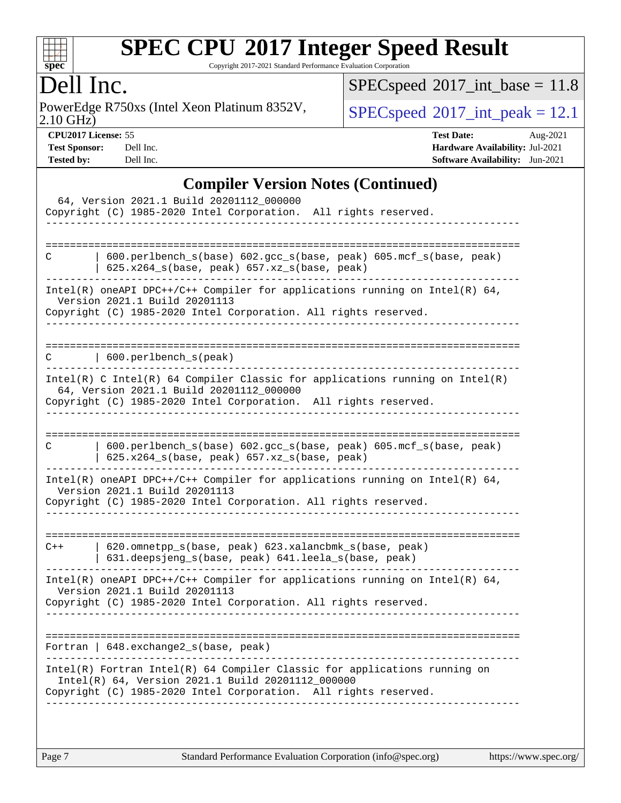

Copyright 2017-2021 Standard Performance Evaluation Corporation

## Dell Inc.

2.10 GHz) PowerEdge R750xs (Intel Xeon Platinum 8352V,  $SPECspeed@2017\_int\_peak = 12.1$  $SPECspeed@2017\_int\_peak = 12.1$ 

 $SPEC speed$ <sup>®</sup> $2017$ \_int\_base = 11.8

**[CPU2017 License:](http://www.spec.org/auto/cpu2017/Docs/result-fields.html#CPU2017License)** 55 **[Test Date:](http://www.spec.org/auto/cpu2017/Docs/result-fields.html#TestDate)** Aug-2021 **[Test Sponsor:](http://www.spec.org/auto/cpu2017/Docs/result-fields.html#TestSponsor)** Dell Inc. **[Hardware Availability:](http://www.spec.org/auto/cpu2017/Docs/result-fields.html#HardwareAvailability)** Jul-2021 **[Tested by:](http://www.spec.org/auto/cpu2017/Docs/result-fields.html#Testedby)** Dell Inc. **[Software Availability:](http://www.spec.org/auto/cpu2017/Docs/result-fields.html#SoftwareAvailability)** Jun-2021

#### **[Compiler Version Notes \(Continued\)](http://www.spec.org/auto/cpu2017/Docs/result-fields.html#CompilerVersionNotes)**

| 64, Version 2021.1 Build 20201112_000000<br>Copyright (C) 1985-2020 Intel Corporation. All rights reserved.                                                                                         |
|-----------------------------------------------------------------------------------------------------------------------------------------------------------------------------------------------------|
| 600.perlbench_s(base) 602.gcc_s(base, peak) 605.mcf_s(base, peak)<br>С<br>625.x264_s(base, peak) 657.xz_s(base, peak)                                                                               |
| Intel(R) oneAPI DPC++/C++ Compiler for applications running on Intel(R) $64$ ,<br>Version 2021.1 Build 20201113<br>Copyright (C) 1985-2020 Intel Corporation. All rights reserved.                  |
| 600.perlbench_s(peak)                                                                                                                                                                               |
| Intel(R) C Intel(R) 64 Compiler Classic for applications running on $Intel(R)$<br>64, Version 2021.1 Build 20201112_000000<br>Copyright (C) 1985-2020 Intel Corporation. All rights reserved.       |
| 600.perlbench_s(base) 602.gcc_s(base, peak) 605.mcf_s(base, peak)<br>С<br>625.x264_s(base, peak) 657.xz_s(base, peak)                                                                               |
| Intel(R) oneAPI DPC++/C++ Compiler for applications running on Intel(R) 64,<br>Version 2021.1 Build 20201113<br>Copyright (C) 1985-2020 Intel Corporation. All rights reserved.                     |
| 620.omnetpp_s(base, peak) 623.xalancbmk_s(base, peak)<br>$C++$<br>631.deepsjeng_s(base, peak) 641.leela_s(base, peak)                                                                               |
| Intel(R) oneAPI DPC++/C++ Compiler for applications running on Intel(R) 64,<br>Version 2021.1 Build 20201113<br>Copyright (C) 1985-2020 Intel Corporation. All rights reserved.                     |
| Fortran   648. exchange2_s(base, peak)                                                                                                                                                              |
| $Intel(R)$ Fortran Intel(R) 64 Compiler Classic for applications running on<br>Intel(R) 64, Version 2021.1 Build 20201112_000000<br>Copyright (C) 1985-2020 Intel Corporation. All rights reserved. |
|                                                                                                                                                                                                     |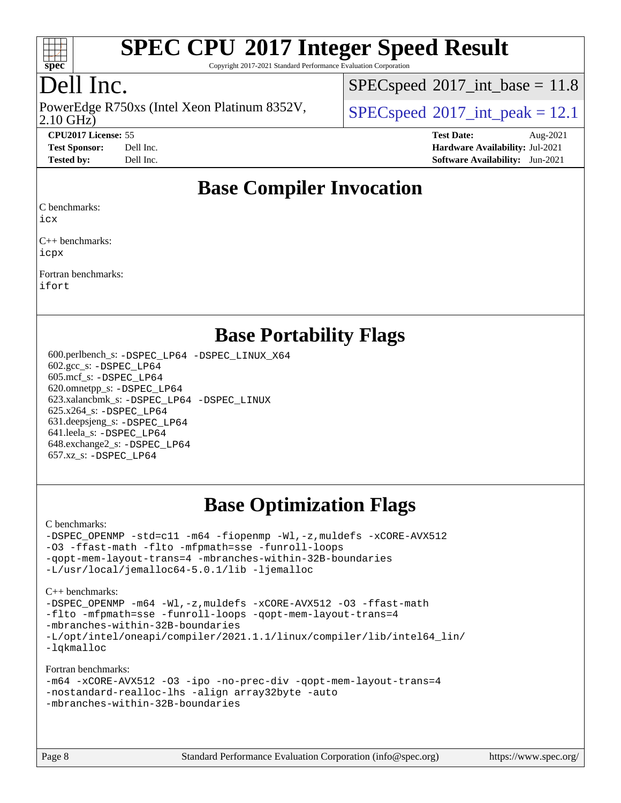

Copyright 2017-2021 Standard Performance Evaluation Corporation

# Dell Inc.

2.10 GHz) PowerEdge R750xs (Intel Xeon Platinum 8352V,  $\vert$  [SPECspeed](http://www.spec.org/auto/cpu2017/Docs/result-fields.html#SPECspeed2017intpeak)®[2017\\_int\\_peak = 1](http://www.spec.org/auto/cpu2017/Docs/result-fields.html#SPECspeed2017intpeak)2.1

 $SPECspeed^{\circ}2017\_int\_base = 11.8$  $SPECspeed^{\circ}2017\_int\_base = 11.8$ 

**[CPU2017 License:](http://www.spec.org/auto/cpu2017/Docs/result-fields.html#CPU2017License)** 55 **[Test Date:](http://www.spec.org/auto/cpu2017/Docs/result-fields.html#TestDate)** Aug-2021 **[Test Sponsor:](http://www.spec.org/auto/cpu2017/Docs/result-fields.html#TestSponsor)** Dell Inc. **[Hardware Availability:](http://www.spec.org/auto/cpu2017/Docs/result-fields.html#HardwareAvailability)** Jul-2021 **[Tested by:](http://www.spec.org/auto/cpu2017/Docs/result-fields.html#Testedby)** Dell Inc. **[Software Availability:](http://www.spec.org/auto/cpu2017/Docs/result-fields.html#SoftwareAvailability)** Jun-2021

#### **[Base Compiler Invocation](http://www.spec.org/auto/cpu2017/Docs/result-fields.html#BaseCompilerInvocation)**

[C benchmarks](http://www.spec.org/auto/cpu2017/Docs/result-fields.html#Cbenchmarks):

[icx](http://www.spec.org/cpu2017/results/res2021q3/cpu2017-20210827-28974.flags.html#user_CCbase_intel_icx_fe2d28d19ae2a5db7c42fe0f2a2aed77cb715edd4aeb23434404a8be6683fe239869bb6ca8154ca98265c2e3b9226a719a0efe2953a4a7018c379b7010ccf087)

[C++ benchmarks:](http://www.spec.org/auto/cpu2017/Docs/result-fields.html#CXXbenchmarks) [icpx](http://www.spec.org/cpu2017/results/res2021q3/cpu2017-20210827-28974.flags.html#user_CXXbase_intel_icpx_1e918ed14c436bf4b9b7c8bcdd51d4539fc71b3df010bd1e9f8732d9c34c2b2914e48204a846820f3c0ebb4095dea797a5c30b458ac0b6dffac65d78f781f5ca)

[Fortran benchmarks:](http://www.spec.org/auto/cpu2017/Docs/result-fields.html#Fortranbenchmarks) [ifort](http://www.spec.org/cpu2017/results/res2021q3/cpu2017-20210827-28974.flags.html#user_FCbase_intel_ifort_8111460550e3ca792625aed983ce982f94888b8b503583aa7ba2b8303487b4d8a21a13e7191a45c5fd58ff318f48f9492884d4413fa793fd88dd292cad7027ca)

#### **[Base Portability Flags](http://www.spec.org/auto/cpu2017/Docs/result-fields.html#BasePortabilityFlags)**

 600.perlbench\_s: [-DSPEC\\_LP64](http://www.spec.org/cpu2017/results/res2021q3/cpu2017-20210827-28974.flags.html#b600.perlbench_s_basePORTABILITY_DSPEC_LP64) [-DSPEC\\_LINUX\\_X64](http://www.spec.org/cpu2017/results/res2021q3/cpu2017-20210827-28974.flags.html#b600.perlbench_s_baseCPORTABILITY_DSPEC_LINUX_X64) 602.gcc\_s: [-DSPEC\\_LP64](http://www.spec.org/cpu2017/results/res2021q3/cpu2017-20210827-28974.flags.html#suite_basePORTABILITY602_gcc_s_DSPEC_LP64) 605.mcf\_s: [-DSPEC\\_LP64](http://www.spec.org/cpu2017/results/res2021q3/cpu2017-20210827-28974.flags.html#suite_basePORTABILITY605_mcf_s_DSPEC_LP64) 620.omnetpp\_s: [-DSPEC\\_LP64](http://www.spec.org/cpu2017/results/res2021q3/cpu2017-20210827-28974.flags.html#suite_basePORTABILITY620_omnetpp_s_DSPEC_LP64) 623.xalancbmk\_s: [-DSPEC\\_LP64](http://www.spec.org/cpu2017/results/res2021q3/cpu2017-20210827-28974.flags.html#suite_basePORTABILITY623_xalancbmk_s_DSPEC_LP64) [-DSPEC\\_LINUX](http://www.spec.org/cpu2017/results/res2021q3/cpu2017-20210827-28974.flags.html#b623.xalancbmk_s_baseCXXPORTABILITY_DSPEC_LINUX) 625.x264\_s: [-DSPEC\\_LP64](http://www.spec.org/cpu2017/results/res2021q3/cpu2017-20210827-28974.flags.html#suite_basePORTABILITY625_x264_s_DSPEC_LP64) 631.deepsjeng\_s: [-DSPEC\\_LP64](http://www.spec.org/cpu2017/results/res2021q3/cpu2017-20210827-28974.flags.html#suite_basePORTABILITY631_deepsjeng_s_DSPEC_LP64) 641.leela\_s: [-DSPEC\\_LP64](http://www.spec.org/cpu2017/results/res2021q3/cpu2017-20210827-28974.flags.html#suite_basePORTABILITY641_leela_s_DSPEC_LP64) 648.exchange2\_s: [-DSPEC\\_LP64](http://www.spec.org/cpu2017/results/res2021q3/cpu2017-20210827-28974.flags.html#suite_basePORTABILITY648_exchange2_s_DSPEC_LP64) 657.xz\_s: [-DSPEC\\_LP64](http://www.spec.org/cpu2017/results/res2021q3/cpu2017-20210827-28974.flags.html#suite_basePORTABILITY657_xz_s_DSPEC_LP64)

# **[Base Optimization Flags](http://www.spec.org/auto/cpu2017/Docs/result-fields.html#BaseOptimizationFlags)**

[C benchmarks](http://www.spec.org/auto/cpu2017/Docs/result-fields.html#Cbenchmarks):

[-DSPEC\\_OPENMP](http://www.spec.org/cpu2017/results/res2021q3/cpu2017-20210827-28974.flags.html#suite_CCbase_DSPEC_OPENMP) [-std=c11](http://www.spec.org/cpu2017/results/res2021q3/cpu2017-20210827-28974.flags.html#user_CCbase_std-icc-std_0e1c27790398a4642dfca32ffe6c27b5796f9c2d2676156f2e42c9c44eaad0c049b1cdb667a270c34d979996257aeb8fc440bfb01818dbc9357bd9d174cb8524) [-m64](http://www.spec.org/cpu2017/results/res2021q3/cpu2017-20210827-28974.flags.html#user_CCbase_m64-icc) [-fiopenmp](http://www.spec.org/cpu2017/results/res2021q3/cpu2017-20210827-28974.flags.html#user_CCbase_fiopenmp_4cde26b3fcccd23bd0bb70af4efc204325d72839eefa1147e34201101709f20b3deb62aad96701dea148529bf4ca48c90b72f3bf837ca148e297cf8a0ba6feb7) [-Wl,-z,muldefs](http://www.spec.org/cpu2017/results/res2021q3/cpu2017-20210827-28974.flags.html#user_CCbase_link_force_multiple1_b4cbdb97b34bdee9ceefcfe54f4c8ea74255f0b02a4b23e853cdb0e18eb4525ac79b5a88067c842dd0ee6996c24547a27a4b99331201badda8798ef8a743f577) [-xCORE-AVX512](http://www.spec.org/cpu2017/results/res2021q3/cpu2017-20210827-28974.flags.html#user_CCbase_f-xCORE-AVX512) [-O3](http://www.spec.org/cpu2017/results/res2021q3/cpu2017-20210827-28974.flags.html#user_CCbase_f-O3) [-ffast-math](http://www.spec.org/cpu2017/results/res2021q3/cpu2017-20210827-28974.flags.html#user_CCbase_f-ffast-math) [-flto](http://www.spec.org/cpu2017/results/res2021q3/cpu2017-20210827-28974.flags.html#user_CCbase_f-flto) [-mfpmath=sse](http://www.spec.org/cpu2017/results/res2021q3/cpu2017-20210827-28974.flags.html#user_CCbase_f-mfpmath_70eb8fac26bde974f8ab713bc9086c5621c0b8d2f6c86f38af0bd7062540daf19db5f3a066d8c6684be05d84c9b6322eb3b5be6619d967835195b93d6c02afa1) [-funroll-loops](http://www.spec.org/cpu2017/results/res2021q3/cpu2017-20210827-28974.flags.html#user_CCbase_f-funroll-loops) [-qopt-mem-layout-trans=4](http://www.spec.org/cpu2017/results/res2021q3/cpu2017-20210827-28974.flags.html#user_CCbase_f-qopt-mem-layout-trans_fa39e755916c150a61361b7846f310bcdf6f04e385ef281cadf3647acec3f0ae266d1a1d22d972a7087a248fd4e6ca390a3634700869573d231a252c784941a8) [-mbranches-within-32B-boundaries](http://www.spec.org/cpu2017/results/res2021q3/cpu2017-20210827-28974.flags.html#user_CCbase_f-mbranches-within-32B-boundaries) [-L/usr/local/jemalloc64-5.0.1/lib](http://www.spec.org/cpu2017/results/res2021q3/cpu2017-20210827-28974.flags.html#user_CCbase_jemalloc_link_path64_1_cc289568b1a6c0fd3b62c91b824c27fcb5af5e8098e6ad028160d21144ef1b8aef3170d2acf0bee98a8da324cfe4f67d0a3d0c4cc4673d993d694dc2a0df248b) [-ljemalloc](http://www.spec.org/cpu2017/results/res2021q3/cpu2017-20210827-28974.flags.html#user_CCbase_jemalloc_link_lib_d1249b907c500fa1c0672f44f562e3d0f79738ae9e3c4a9c376d49f265a04b9c99b167ecedbf6711b3085be911c67ff61f150a17b3472be731631ba4d0471706)

[C++ benchmarks:](http://www.spec.org/auto/cpu2017/Docs/result-fields.html#CXXbenchmarks)

[-DSPEC\\_OPENMP](http://www.spec.org/cpu2017/results/res2021q3/cpu2017-20210827-28974.flags.html#suite_CXXbase_DSPEC_OPENMP) [-m64](http://www.spec.org/cpu2017/results/res2021q3/cpu2017-20210827-28974.flags.html#user_CXXbase_m64-icc) [-Wl,-z,muldefs](http://www.spec.org/cpu2017/results/res2021q3/cpu2017-20210827-28974.flags.html#user_CXXbase_link_force_multiple1_b4cbdb97b34bdee9ceefcfe54f4c8ea74255f0b02a4b23e853cdb0e18eb4525ac79b5a88067c842dd0ee6996c24547a27a4b99331201badda8798ef8a743f577) [-xCORE-AVX512](http://www.spec.org/cpu2017/results/res2021q3/cpu2017-20210827-28974.flags.html#user_CXXbase_f-xCORE-AVX512) [-O3](http://www.spec.org/cpu2017/results/res2021q3/cpu2017-20210827-28974.flags.html#user_CXXbase_f-O3) [-ffast-math](http://www.spec.org/cpu2017/results/res2021q3/cpu2017-20210827-28974.flags.html#user_CXXbase_f-ffast-math) [-flto](http://www.spec.org/cpu2017/results/res2021q3/cpu2017-20210827-28974.flags.html#user_CXXbase_f-flto) [-mfpmath=sse](http://www.spec.org/cpu2017/results/res2021q3/cpu2017-20210827-28974.flags.html#user_CXXbase_f-mfpmath_70eb8fac26bde974f8ab713bc9086c5621c0b8d2f6c86f38af0bd7062540daf19db5f3a066d8c6684be05d84c9b6322eb3b5be6619d967835195b93d6c02afa1) [-funroll-loops](http://www.spec.org/cpu2017/results/res2021q3/cpu2017-20210827-28974.flags.html#user_CXXbase_f-funroll-loops) [-qopt-mem-layout-trans=4](http://www.spec.org/cpu2017/results/res2021q3/cpu2017-20210827-28974.flags.html#user_CXXbase_f-qopt-mem-layout-trans_fa39e755916c150a61361b7846f310bcdf6f04e385ef281cadf3647acec3f0ae266d1a1d22d972a7087a248fd4e6ca390a3634700869573d231a252c784941a8) [-mbranches-within-32B-boundaries](http://www.spec.org/cpu2017/results/res2021q3/cpu2017-20210827-28974.flags.html#user_CXXbase_f-mbranches-within-32B-boundaries) [-L/opt/intel/oneapi/compiler/2021.1.1/linux/compiler/lib/intel64\\_lin/](http://www.spec.org/cpu2017/results/res2021q3/cpu2017-20210827-28974.flags.html#user_CXXbase_linkpath_765a8c93c4ea33dfc565a33ecb48f4f7d02a6338709b3b362f341eb203a06426ce1d12ded4c7809f6ab6cf0e9f5515cffeb4efc405b63f85dc27a83bbbdeb3a3) [-lqkmalloc](http://www.spec.org/cpu2017/results/res2021q3/cpu2017-20210827-28974.flags.html#user_CXXbase_qkmalloc_link_lib_79a818439969f771c6bc311cfd333c00fc099dad35c030f5aab9dda831713d2015205805422f83de8875488a2991c0a156aaa600e1f9138f8fc37004abc96dc5)

[Fortran benchmarks](http://www.spec.org/auto/cpu2017/Docs/result-fields.html#Fortranbenchmarks):

| -m64 -xCORE-AVX512 -03 -ipo -no-prec-div -qopt-mem-layout-trans=4 |  |
|-------------------------------------------------------------------|--|
| -nostandard-realloc-lhs -align array32byte -auto                  |  |
| -mbranches-within-32B-boundaries                                  |  |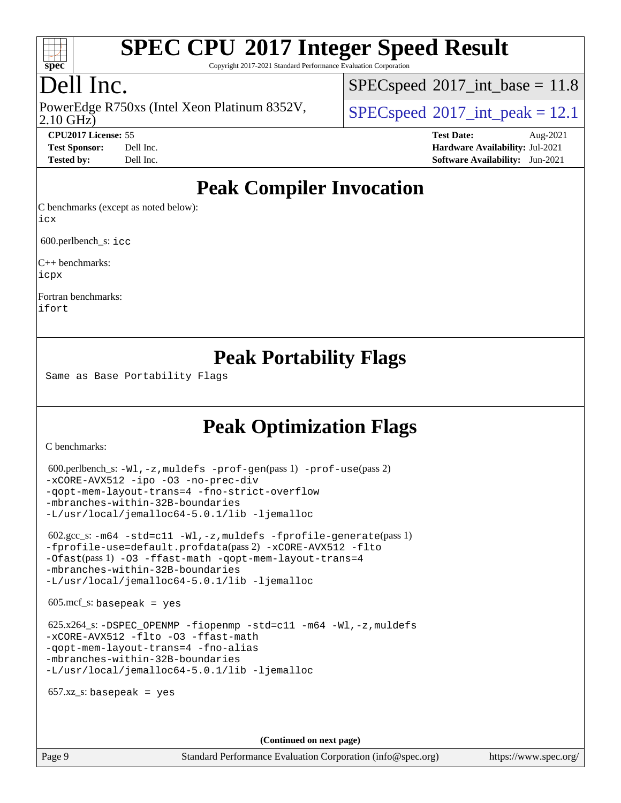

Copyright 2017-2021 Standard Performance Evaluation Corporation

## Dell Inc.

2.10 GHz) PowerEdge R750xs (Intel Xeon Platinum 8352V,  $\vert$  [SPECspeed](http://www.spec.org/auto/cpu2017/Docs/result-fields.html#SPECspeed2017intpeak)®[2017\\_int\\_peak = 1](http://www.spec.org/auto/cpu2017/Docs/result-fields.html#SPECspeed2017intpeak)2.1

 $SPECspeed^{\circ}2017\_int\_base = 11.8$  $SPECspeed^{\circ}2017\_int\_base = 11.8$ 

**[CPU2017 License:](http://www.spec.org/auto/cpu2017/Docs/result-fields.html#CPU2017License)** 55 **[Test Date:](http://www.spec.org/auto/cpu2017/Docs/result-fields.html#TestDate)** Aug-2021 **[Test Sponsor:](http://www.spec.org/auto/cpu2017/Docs/result-fields.html#TestSponsor)** Dell Inc. **[Hardware Availability:](http://www.spec.org/auto/cpu2017/Docs/result-fields.html#HardwareAvailability)** Jul-2021 **[Tested by:](http://www.spec.org/auto/cpu2017/Docs/result-fields.html#Testedby)** Dell Inc. **[Software Availability:](http://www.spec.org/auto/cpu2017/Docs/result-fields.html#SoftwareAvailability)** Jun-2021

## **[Peak Compiler Invocation](http://www.spec.org/auto/cpu2017/Docs/result-fields.html#PeakCompilerInvocation)**

[C benchmarks \(except as noted below\):](http://www.spec.org/auto/cpu2017/Docs/result-fields.html#Cbenchmarksexceptasnotedbelow) [icx](http://www.spec.org/cpu2017/results/res2021q3/cpu2017-20210827-28974.flags.html#user_CCpeak_intel_icx_fe2d28d19ae2a5db7c42fe0f2a2aed77cb715edd4aeb23434404a8be6683fe239869bb6ca8154ca98265c2e3b9226a719a0efe2953a4a7018c379b7010ccf087)

600.perlbench\_s: [icc](http://www.spec.org/cpu2017/results/res2021q3/cpu2017-20210827-28974.flags.html#user_peakCCLD600_perlbench_s_intel_icc_66fc1ee009f7361af1fbd72ca7dcefbb700085f36577c54f309893dd4ec40d12360134090235512931783d35fd58c0460139e722d5067c5574d8eaf2b3e37e92)

[C++ benchmarks](http://www.spec.org/auto/cpu2017/Docs/result-fields.html#CXXbenchmarks): [icpx](http://www.spec.org/cpu2017/results/res2021q3/cpu2017-20210827-28974.flags.html#user_CXXpeak_intel_icpx_1e918ed14c436bf4b9b7c8bcdd51d4539fc71b3df010bd1e9f8732d9c34c2b2914e48204a846820f3c0ebb4095dea797a5c30b458ac0b6dffac65d78f781f5ca)

[Fortran benchmarks:](http://www.spec.org/auto/cpu2017/Docs/result-fields.html#Fortranbenchmarks) [ifort](http://www.spec.org/cpu2017/results/res2021q3/cpu2017-20210827-28974.flags.html#user_FCpeak_intel_ifort_8111460550e3ca792625aed983ce982f94888b8b503583aa7ba2b8303487b4d8a21a13e7191a45c5fd58ff318f48f9492884d4413fa793fd88dd292cad7027ca)

## **[Peak Portability Flags](http://www.spec.org/auto/cpu2017/Docs/result-fields.html#PeakPortabilityFlags)**

Same as Base Portability Flags

# **[Peak Optimization Flags](http://www.spec.org/auto/cpu2017/Docs/result-fields.html#PeakOptimizationFlags)**

[C benchmarks](http://www.spec.org/auto/cpu2017/Docs/result-fields.html#Cbenchmarks):

```
 600.perlbench_s: -Wl,-z,muldefs -prof-gen(pass 1) -prof-use(pass 2)
-xCORE-AVX512 -ipo -O3 -no-prec-div
-qopt-mem-layout-trans=4 -fno-strict-overflow
-mbranches-within-32B-boundaries
-L/usr/local/jemalloc64-5.0.1/lib -ljemalloc
 602.gcc_s: -m64 -std=c11 -Wl,-z,muldefs -fprofile-generate(pass 1)
-fprofile-use=default.profdata(pass 2) -xCORE-AVX512 -flto
-Ofast(pass 1) -O3 -ffast-math -qopt-mem-layout-trans=4
-mbranches-within-32B-boundaries
-L/usr/local/jemalloc64-5.0.1/lib -ljemalloc
605 \text{.mcf}\text{-}\mathrm{s}: basepeak = yes
625.x264-fiopenmp-std=c11-m64-Wl,-z,muldefs
-xCORE-AVX512 -flto -O3 -ffast-math
-qopt-mem-layout-trans=4 -fno-alias
-mbranches-within-32B-boundaries
-L/usr/local/jemalloc64-5.0.1/lib -ljemalloc
657.xz s: basepeak = yes
                                     (Continued on next page)
```